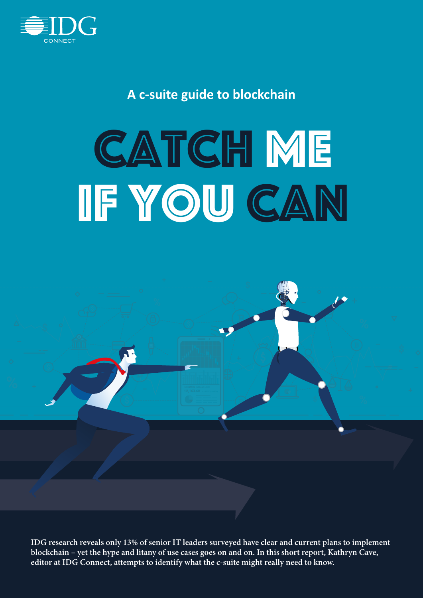

**A c-suite guide to blockchain**

# **CATCH ME** IF YOU CAN



**IDG research reveals only 13% of senior IT leaders surveyed have clear and current plans to implement blockchain – yet the hype and litany of use cases goes on and on. In this short report, Kathryn Cave, editor at IDG Connect, attempts to identify what the c-suite might really need to know.**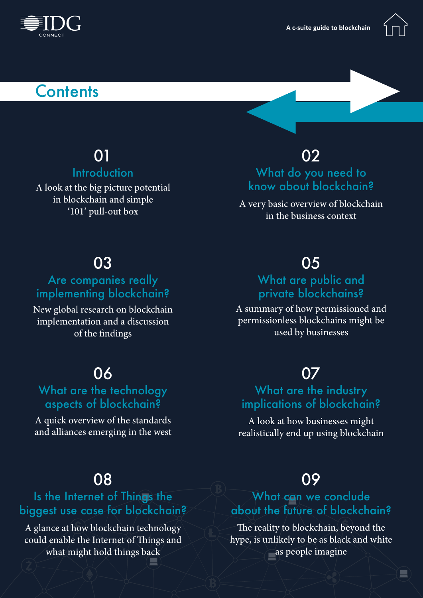



# **Contents**

# 01

### **Introduction**

A look at the big picture potential in blockchain and simple '101' pull-out box

# 02

### What do you need to know about blockchain?

A very basic overview of blockchain in the business context

# 03

### Are companies really implementing blockchain?

New global research on blockchain implementation and a discussion of the findings

# 06

### What are the technology aspects of blockchain?

A quick overview of the standards and alliances emerging in the west

# 08

### Is the Internet of Things the biggest use case for blockchain?

A glance at how blockchain technology could enable the Internet of Things and what might hold things back

# 05

### What are public and private blockchains?

A summary of how permissioned and permissionless blockchains might be used by businesses

# 07

### What are the industry implications of blockchain?

A look at how businesses might realistically end up using blockchain

# 09

### What can we conclude about the future of blockchain?

The reality to blockchain, beyond the hype, is unlikely to be as black and white as people imagine

 $\begin{array}{c} \hline \rule{0mm}{2mm} \rule{0mm}{2mm} \rule{0mm}{2mm} \rule{0mm}{2mm} \rule{0mm}{2mm} \rule{0mm}{2mm} \rule{0mm}{2mm} \rule{0mm}{2mm} \rule{0mm}{2mm} \rule{0mm}{2mm} \rule{0mm}{2mm} \rule{0mm}{2mm} \rule{0mm}{2mm} \rule{0mm}{2mm} \rule{0mm}{2mm} \rule{0mm}{2mm} \rule{0mm}{2mm} \rule{0mm}{2mm} \rule{0mm}{2mm} \rule{0mm}{2mm} \rule{0mm}{2mm} \rule{0mm}{2mm} \rule{0mm}{2mm} \rule{$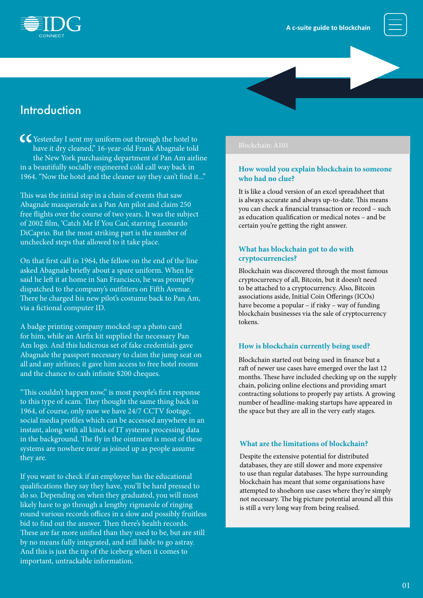

### **Introduction**

C<br/>Simus V sent my uniform out through the hotel to have it dry cleaned," 16-year-old Frank Abagnale told the New York purchasing department of Pan Am airli<br/> in a beautifully socially engineered cold call way back i have it dry cleaned," 16-year-old Frank Abagnale told the New York purchasing department of Pan Am airline in a beautifully socially engineered cold call way back in 1964. "Now the hotel and the cleaner say they can't find it..."

This was the initial step in a chain of events that saw Abagnale masquerade as a Pan Am pilot and claim 250 free flights over the course of two years. It was the subject of 2002 film, 'Catch Me If You Can', starring Leonardo DiCaprio. But the most striking part is the number of unchecked steps that allowed to it take place.

On that first call in 1964, the fellow on the end of the line asked Abagnale briefly about a spare uniform. When he said he left it at home in San Francisco, he was promptly dispatched to the company's outfitters on Fifth Avenue. There he charged his new pilot's costume back to Pan Am, via a fictional computer ID.

A badge printing company mocked-up a photo card for him, while an Airfix kit supplied the necessary Pan Am logo. And this ludicrous set of fake credentials gave Abagnale the passport necessary to claim the jump seat on all and any airlines; it gave him access to free hotel rooms and the chance to cash infinite \$200 cheques.

"This couldn't happen now," is most people's first response to this type of scam. They thought the same thing back in 1964, of course, only now we have 24/7 CCTV footage, social media profiles which can be accessed anywhere in an instant, along with all kinds of IT systems processing data in the background. The fly in the ointment is most of these systems are nowhere near as joined up as people assume they are.

If you want to check if an employee has the educational qualifications they say they have, you'll be hard pressed to do so. Depending on when they graduated, you will most likely have to go through a lengthy rigmarole of ringing round various records offices in a slow and possibly fruitless bid to find out the answer. Then there's health records. These are far more unified than they used to be, but are still by no means fully integrated, and still liable to go astray. And this is just the tip of the iceberg when it comes to important, untrackable information.

#### Blockchain: A101

#### **How would you explain blockchain to someone who had no clue?**

It is like a cloud version of an excel spreadsheet that is always accurate and always up-to-date. This means you can check a financial transaction or record – such as education qualification or medical notes – and be certain you're getting the right answer.

#### **What has blockchain got to do with cryptocurrencies?**

Blockchain was discovered through the most famous cryptocurrency of all, Bitcoin, but it doesn't need to be attached to a cryptocurrency. Also, Bitcoin associations aside, Initial Coin Offerings (ICOs) have become a popular – if risky – way of funding blockchain businesses via the sale of cryptocurrency tokens.

#### **How is blockchain currently being used?**

Blockchain started out being used in finance but a raft of newer use cases have emerged over the last 12 months. These have included checking up on the supply chain, policing online elections and providing smart contracting solutions to properly pay artists. A growing number of headline-making startups have appeared in the space but they are all in the very early stages.

#### **What are the limitations of blockchain?**

Despite the extensive potential for distributed databases, they are still slower and more expensive to use than regular databases. The hype surrounding blockchain has meant that some organisations have attempted to shoehorn use cases where they're simply not necessary. The big picture potential around all this is still a very long way from being realised.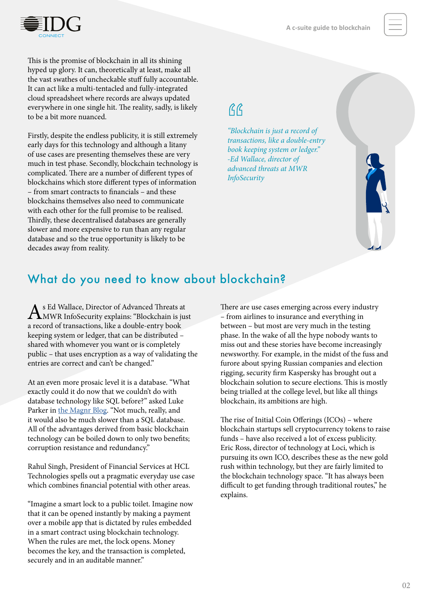

This is the promise of blockchain in all its shining hyped up glory. It can, theoretically at least, make all the vast swathes of uncheckable stuff fully accountable. It can act like a multi-tentacled and fully-integrated cloud spreadsheet where records are always updated everywhere in one single hit. The reality, sadly, is likely to be a bit more nuanced.

Firstly, despite the endless publicity, it is still extremely early days for this technology and although a litany of use cases are presenting themselves these are very much in test phase. Secondly, blockchain technology is complicated. There are a number of different types of blockchains which store different types of information – from smart contracts to financials – and these blockchains themselves also need to communicate with each other for the full promise to be realised. Thirdly, these decentralised databases are generally slower and more expensive to run than any regular database and so the true opportunity is likely to be decades away from reality.

# $AG$

*"Blockchain is just a record of transactions, like a double-entry book keeping system or ledger." -Ed Wallace, director of advanced threats at MWR InfoSecurity*



# What do you need to know about blockchain?

As Ed Wallace, Director of Advanced Threats at MWR InfoSecurity explains: "Blockchain is just a record of transactions, like a double-entry book keeping system or ledger, that can be distributed – shared with whomever you want or is completely public – that uses encryption as a way of validating the entries are correct and can't be changed."

At an even more prosaic level it is a database. "What exactly could it do now that we couldn't do with database technology like SQL before?" asked Luke Parker in [the Magnr Blog](https://magnr.com/blog/tag/permissioned/). "Not much, really, and it would also be much slower than a SQL database. All of the advantages derived from basic blockchain technology can be boiled down to only two benefits; corruption resistance and redundancy."

Rahul Singh, President of Financial Services at HCL Technologies spells out a pragmatic everyday use case which combines financial potential with other areas.

"Imagine a smart lock to a public toilet. Imagine now that it can be opened instantly by making a payment over a mobile app that is dictated by rules embedded in a smart contract using blockchain technology. When the rules are met, the lock opens. Money becomes the key, and the transaction is completed, securely and in an auditable manner."

There are use cases emerging across every industry – from airlines to insurance and everything in between – but most are very much in the testing phase. In the wake of all the hype nobody wants to miss out and these stories have become increasingly newsworthy. For example, in the midst of the fuss and furore about spying Russian companies and election rigging, security firm Kaspersky has brought out a blockchain solution to secure elections. This is mostly being trialled at the college level, but like all things blockchain, its ambitions are high.

The rise of Initial Coin Offerings (ICOs) – where blockchain startups sell cryptocurrency tokens to raise funds – have also received a lot of excess publicity. Eric Ross, director of technology at Loci, which is pursuing its own ICO, describes these as the new gold rush within technology, but they are fairly limited to the blockchain technology space. "It has always been difficult to get funding through traditional routes," he explains.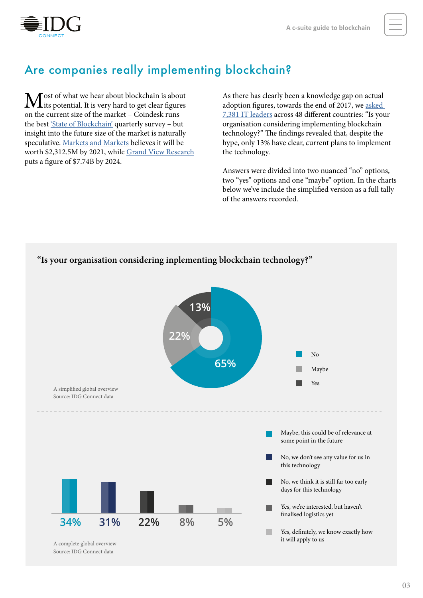

## Are companies really implementing blockchain?

**M** ost of what we hear about blockchain is about list potential. It is very hard to get clear figures on the current size of the market – Coindesk runs the best ['State of Blockchain'](https://www.coindesk.com/state-blockchain-survey-q3-mainstream-breakthrough/) quarterly survey – but insight into the future size of the market is naturally speculative. [Markets and Markets](https://www.marketsandmarkets.com/PressReleases/blockchain-technology.asp) believes it will be worth \$2,312.5M by 2021, while [Grand View Research](https://www.grandviewresearch.com/press-release/global-blockchain-technology-market) puts a figure of \$7.74B by 2024.

As there has clearly been a knowledge gap on actual adoption figures, towards the end of 2017, we [asked](http://www.idgconnect.com/abstract/28854/research-does-asia-lead-global-blockchain-implementation)  [7,381 IT leaders](http://www.idgconnect.com/abstract/28854/research-does-asia-lead-global-blockchain-implementation) across 48 different countries: "Is your organisation considering implementing blockchain technology?" The findings revealed that, despite the hype, only 13% have clear, current plans to implement the technology.

Answers were divided into two nuanced "no" options, two "yes" options and one "maybe" option. In the charts below we've include the simplified version as a full tally of the answers recorded.

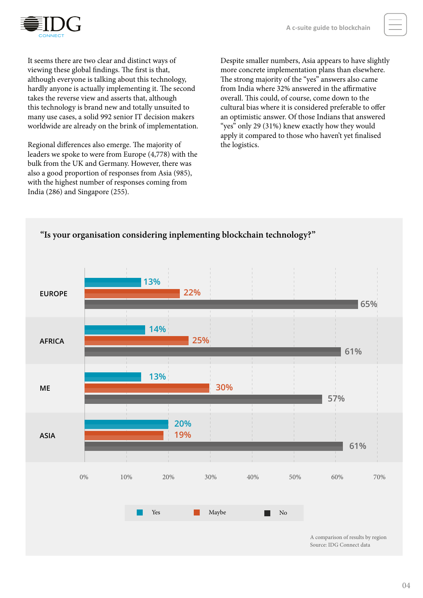

It seems there are two clear and distinct ways of viewing these global findings. The first is that, although everyone is talking about this technology, hardly anyone is actually implementing it. The second takes the reverse view and asserts that, although this technology is brand new and totally unsuited to many use cases, a solid 992 senior IT decision makers worldwide are already on the brink of implementation.

Regional differences also emerge. The majority of leaders we spoke to were from Europe (4,778) with the bulk from the UK and Germany. However, there was also a good proportion of responses from Asia (985), with the highest number of responses coming from India (286) and Singapore (255).

Despite smaller numbers, Asia appears to have slightly more concrete implementation plans than elsewhere. The strong majority of the "yes" answers also came from India where 32% answered in the affirmative overall. This could, of course, come down to the cultural bias where it is considered preferable to offer an optimistic answer. Of those Indians that answered "yes" only 29 (31%) knew exactly how they would apply it compared to those who haven't yet finalised the logistics.

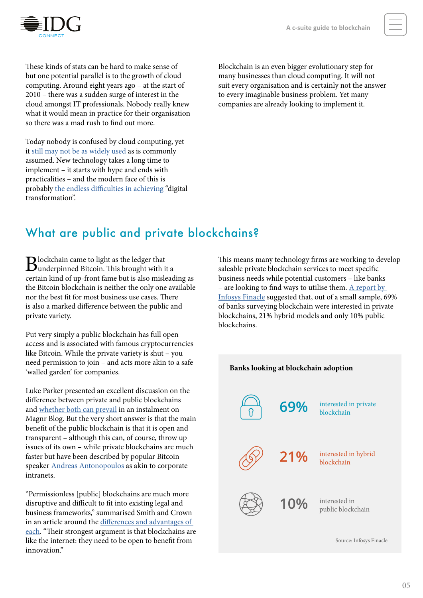

These kinds of stats can be hard to make sense of but one potential parallel is to the growth of cloud computing. Around eight years ago – at the start of 2010 – there was a sudden surge of interest in the cloud amongst IT professionals. Nobody really knew what it would mean in practice for their organisation so there was a mad rush to find out more.

Today nobody is confused by cloud computing, yet it [still may not be as widely used](http://www.idgconnect.com/abstract/23034/beyond-hype-a-nuanced-look-cloud-adoption) as is commonly assumed. New technology takes a long time to implement – it starts with hype and ends with practicalities – and the modern face of this is probably [the endless difficulties in achieving](http://www.idgconnect.com/abstract/28025/-digi-washing-the-truth-digital-transformation) "digital transformation".

Blockchain is an even bigger evolutionary step for many businesses than cloud computing. It will not suit every organisation and is certainly not the answer to every imaginable business problem. Yet many companies are already looking to implement it.

### What are public and private blockchains?

Blockchain came to light as the ledger that underpinned Bitcoin. This brought with it a certain kind of up-front fame but is also misleading as the Bitcoin blockchain is neither the only one available nor the best fit for most business use cases. There is also a marked difference between the public and private variety.

Put very simply a public blockchain has full open access and is associated with famous cryptocurrencies like Bitcoin. While the private variety is shut – you need permission to join – and acts more akin to a safe 'walled garden' for companies.

Luke Parker presented an excellent discussion on the difference between private and public blockchains and [whether both can prevail](https://magnr.com/blog/technology/private-vs-public-blockchains-bitcoin/) in an instalment on Magnr Blog. But the very short answer is that the main benefit of the public blockchain is that it is open and transparent – although this can, of course, throw up issues of its own – while private blockchains are much faster but have been described by popular Bitcoin speaker [Andreas Antonopoulos](https://antonopoulos.com/) as akin to corporate intranets.

"Permissionless [public] blockchains are much more disruptive and difficult to fit into existing legal and business frameworks," summarised Smith and Crown in an article around the differences [and advantages of](https://www.smithandcrown.com/permission-blockchains/)  [each](https://www.smithandcrown.com/permission-blockchains/). "Their strongest argument is that blockchains are like the internet: they need to be open to benefit from innovation"

This means many technology firms are working to develop saleable private blockchain services to meet specific business needs while potential customers – like banks – are looking to find ways to utilise them.  $\Delta$  report by [Infosys Finacle](https://www.edgeverve.com/resources/?type=Industry%20Reports) suggested that, out of a small sample, 69% of banks surveying blockchain were interested in private blockchains, 21% hybrid models and only 10% public blockchains.

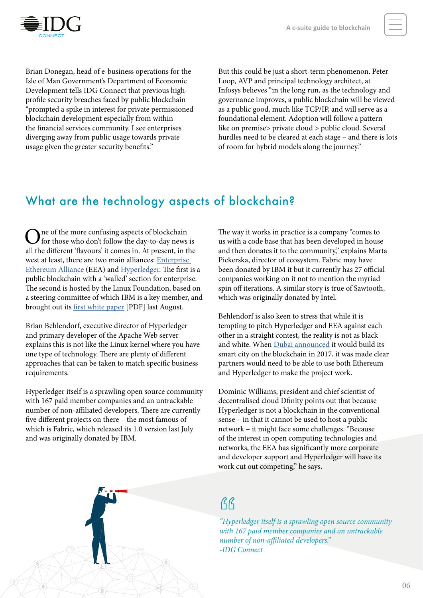

Brian Donegan, head of e-business operations for the Isle of Man Government's Department of Economic Development tells IDG Connect that previous highprofile security breaches faced by public blockchain "prompted a spike in interest for private permissioned blockchain development especially from within the financial services community. I see enterprises diverging away from public usage towards private usage given the greater security benefits."

But this could be just a short-term phenomenon. Peter Loop, AVP and principal technology architect, at Infosys believes "in the long run, as the technology and governance improves, a public blockchain will be viewed as a public good, much like TCP/IP, and will serve as a foundational element. Adoption will follow a pattern like on premise> private cloud > public cloud. Several hurdles need to be cleared at each stage – and there is lots of room for hybrid models along the journey."

### What are the technology aspects of blockchain?

 $\sum$  ne of the more confusing aspects of blockchain<br>for those who don't follow the day-to-day news is all the different 'flavours' it comes in. At present, in the west at least, there are two main alliances: [Enterprise](https://entethalliance.org)  [Ethereum Alliance](https://entethalliance.org) (EEA) and [Hyperledger.](https://www.hyperledger.org/) The first is a public blockchain with a 'walled' section for enterprise. The second is hosted by the Linux Foundation, based on a steering committee of which IBM is a key member, and brought out its [first white paper](https://www.hyperledger.org/wp-content/uploads/2017/08/HyperLedger_Arch_WG_Paper_1_Consensus.pdf) [PDF] last August.

Brian Behlendorf, executive director of Hyperledger and primary developer of the Apache Web server explains this is not like the Linux kernel where you have one type of technology. There are plenty of different approaches that can be taken to match specific business requirements.

Hyperledger itself is a sprawling open source community with 167 paid member companies and an untrackable number of non-affiliated developers. There are currently five different projects on there – the most famous of which is Fabric, which released its 1.0 version last July and was originally donated by IBM.

The way it works in practice is a company "comes to us with a code base that has been developed in house and then donates it to the community," explains Marta Piekerska, director of ecosystem. Fabric may have been donated by IBM it but it currently has 27 official companies working on it not to mention the myriad spin off iterations. A similar story is true of Sawtooth, which was originally donated by Intel.

Behlendorf is also keen to stress that while it is tempting to pitch Hyperledger and EEA against each other in a straight contest, the reality is not as black and white. When [Dubai announced](http://www.smartdubai.ae/dubai_blockchain.php) it would build its smart city on the blockchain in 2017, it was made clear partners would need to be able to use both Ethereum and Hyperledger to make the project work.

Dominic Williams, president and chief scientist of decentralised cloud [Dfinity](https://dfinity.network/) points out that because Hyperledger is not a blockchain in the conventional sense – in that it cannot be used to host a public network – it might face some challenges. "Because of the interest in open computing technologies and networks, the EEA has significantly more corporate and developer support and Hyperledger will have its work cut out competing," he says.

# $AG$

*"Hyperledger itself is a sprawling open source community with 167 paid member companies and an untrackable number of non-affiliated developers." -IDG Connect*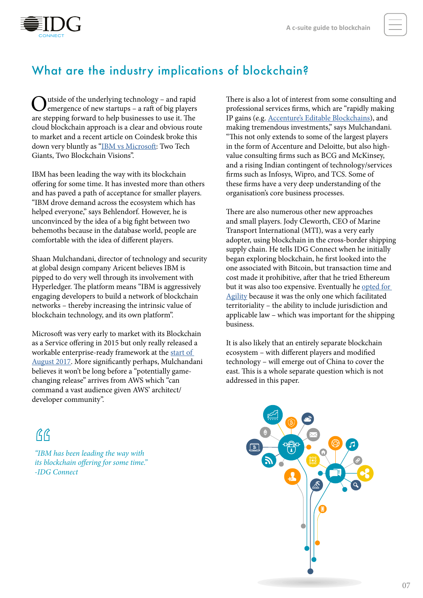

# What are the industry implications of blockchain?

Outside of the underlying technology – and rapid<br>
emergence of new startups – a raft of big players<br>  $\frac{1}{2}$ are stepping forward to help businesses to use it. The cloud blockchain approach is a clear and obvious route to market and a recent article on Coindesk broke this down very bluntly as "[IBM vs Microsoft:](https://www.coindesk.com/ibm-vs-microsoft-two-tech-giants-two-blockchain-v) Two Tech Giants, Two Blockchain Visions".

IBM has been leading the way with its blockchain offering for some time. It has invested more than others and has paved a path of acceptance for smaller players. "IBM drove demand across the ecosystem which has helped everyone," says Behlendorf. However, he is unconvinced by the idea of a big fight between two behemoths because in the database world, people are comfortable with the idea of different players.

Shaan Mulchandani, director of technology and security at global design company Aricent believes IBM is pipped to do very well through its involvement with Hyperledger. The platform means "IBM is aggressively engaging developers to build a network of blockchain networks – thereby increasing the intrinsic value of blockchain technology, and its own platform".

Microsoft was very early to market with its Blockchain as a Service offering in 2015 but only really released a workable enterprise-ready framework at the start of [August 2017.](https://techcrunch.com/2017/08/10/microsoft-wants-to-make-blockchain-networks-enterprise-ready-with-its-new-coco-framework/) More significantly perhaps, Mulchandani believes it won't be long before a "potentially gamechanging release" arrives from AWS which "can command a vast audience given AWS' architect/ developer community".

# $AG$

*"IBM has been leading the way with its blockchain offering for some time." -IDG Connect*

There is also a lot of interest from some consulting and professional services firms, which are "rapidly making IP gains (e.g. [Accenture's Editable Blockchains\)](https://newsroom.accenture.com/news/accenture-debuts-prototype-of-editable-blockchain-for-enterprise-and-permissioned-systems.htm), and making tremendous investments," says Mulchandani. "This not only extends to some of the largest players in the form of Accenture and Deloitte, but also highvalue consulting firms such as BCG and McKinsey, and a rising Indian contingent of technology/services firms such as Infosys, Wipro, and TCS. Some of these firms have a very deep understanding of the organisation's core business processes.

There are also numerous other new approaches and small players. Jody Cleworth, CEO of Marine Transport International (MTI), was a very early adopter, using blockchain in the cross-border shipping supply chain. He tells IDG Connect when he initially began exploring blockchain, he first looked into the one associated with Bitcoin, but transaction time and cost made it prohibitive, after that he tried Ethereum but it was also too expensive. Eventually he opted for [Agility](http://tradelanes.agility.com/) because it was the only one which facilitated territoriality – the ability to include jurisdiction and applicable law – which was important for the shipping business.

It is also likely that an entirely separate blockchain ecosystem – with different players and modified technology – will emerge out of China to cover the east. This is a whole separate question which is not addressed in this paper.

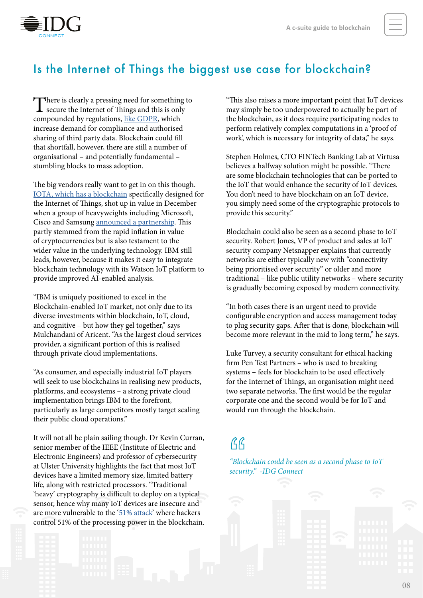

### Is the Internet of Things the biggest use case for blockchain?

There is clearly a pressing need for something to secure the Internet of Things and this is only compounded by regulations, [like GDPR](http://www.idgconnect.com/abstract/26688/what-gdpr), which increase demand for compliance and authorised sharing of third party data. Blockchain could fill that shortfall, however, there are still a number of organisational – and potentially fundamental – stumbling blocks to mass adoption.

The big vendors really want to get in on this though. [IOTA, which has a blockchain](http://www.idgconnect.com/abstract/27650/iota-a-blockchain-internet-things) specifically designed for the Internet of Things, shot up in value in December when a group of heavyweights including Microsoft, Cisco and Samsung [announced a partnership](https://www.cryptocoinsnews.com/iota-price-explodes-after-microsoft-partnership-announcement/). This partly stemmed from the rapid inflation in value of cryptocurrencies but is also testament to the wider value in the underlying technology. IBM still leads, however, because it makes it easy to integrate blockchain technology with its Watson IoT platform to provide improved AI-enabled analysis.

"IBM is uniquely positioned to excel in the Blockchain-enabled IoT market, not only due to its diverse investments within blockchain, IoT, cloud, and cognitive – but how they gel together," says Mulchandani of Aricent. "As the largest cloud services provider, a significant portion of this is realised through private cloud implementations.

"As consumer, and especially industrial IoT players will seek to use blockchains in realising new products, platforms, and ecosystems – a strong private cloud implementation brings IBM to the forefront, particularly as large competitors mostly target scaling their public cloud operations."

It will not all be plain sailing though. Dr Kevin Curran, senior member of the IEEE (Institute of Electric and Electronic Engineers) and professor of cybersecurity at Ulster University highlights the fact that most IoT devices have a limited memory size, limited battery life, along with restricted processors. "Traditional 'heavy' cryptography is difficult to deploy on a typical sensor, hence why many IoT devices are insecure and are more vulnerable to the ['51% attack](https://www.investopedia.com/terms/1/51-attack.asp)' where hackers control 51% of the processing power in the blockchain.

"This also raises a more important point that IoT devices may simply be too underpowered to actually be part of the blockchain, as it does require participating nodes to perform relatively complex computations in a 'proof of work', which is necessary for integrity of data," he says.

Stephen Holmes, CTO FINTech Banking Lab at Virtusa believes a halfway solution might be possible. "There are some blockchain technologies that can be ported to the IoT that would enhance the security of IoT devices. You don't need to have blockchain on an IoT device, you simply need some of the cryptographic protocols to provide this security."

Blockchain could also be seen as a second phase to IoT security. Robert Jones, VP of product and sales at IoT security company Netsnapper explains that currently networks are either typically new with "connectivity being prioritised over security" or older and more traditional – like public utility networks – where security is gradually becoming exposed by modern connectivity.

"In both cases there is an urgent need to provide configurable encryption and access management today to plug security gaps. After that is done, blockchain will become more relevant in the mid to long term," he says.

Luke Turvey, a security consultant for ethical hacking firm Pen Test Partners – who is used to breaking systems – feels for blockchain to be used effectively for the Internet of Things, an organisation might need two separate networks. The first would be the regular corporate one and the second would be for IoT and would run through the blockchain.

# $AG$

*"Blockchain could be seen as a second phase to IoT security." -IDG Connect*